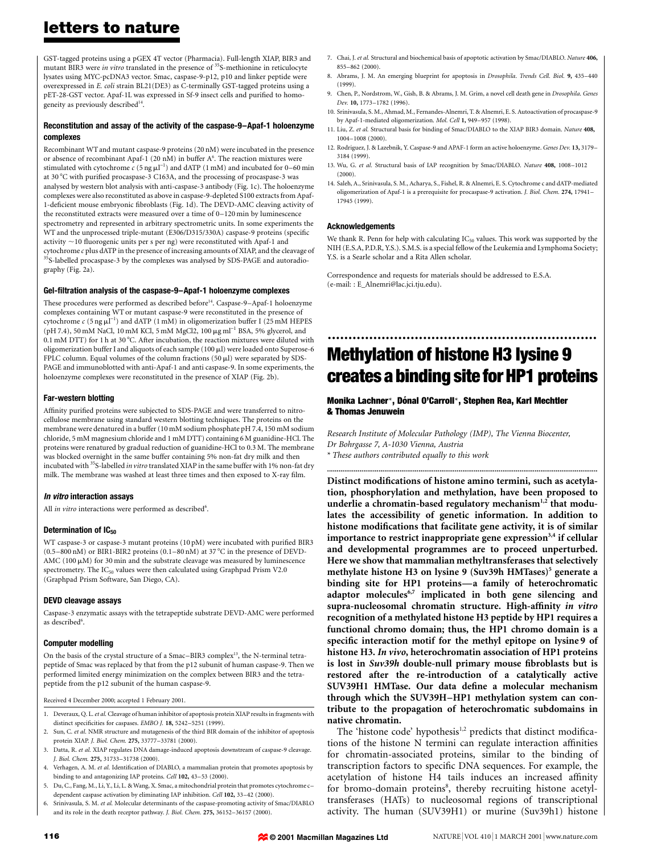GST-tagged proteins using a pGEX 4T vector (Pharmacia). Full-length XIAP, BIR3 and mutant BIR3 were in vitro translated in the presence of <sup>35</sup>S-methionine in reticulocyte lysates using MYC-pcDNA3 vector. Smac, caspase-9-p12, p10 and linker peptide were overexpressed in E. coli strain BL21(DE3) as C-terminally GST-tagged proteins using a pET-28-GST vector. Apaf-1L was expressed in Sf-9 insect cells and purified to homogeneity as previously described<sup>14</sup>.

## Reconstitution and assay of the activity of the caspase-9-Apaf-1 holoenzyme complexes

Recombinant WT and mutant caspase-9 proteins (20 nM) were incubated in the presence or absence of recombinant Apaf-1 (20 nM) in buffer  $A<sup>6</sup>$ . The reaction mixtures were stimulated with cytochrome  $c$  (5 ng  $\mu$ l<sup>-1</sup>) and dATP (1 mM) and incubated for 0–60 min at 30  $^{\rm o}{\rm C}$  with purified procaspase-3 C163A, and the processing of procaspase-3 was analysed by western blot analysis with anti-caspase-3 antibody (Fig. 1c). The holoenzyme complexes were also reconstituted as above in caspase-9-depleted S100 extracts from Apaf-1-deficient mouse embryonic fibroblasts (Fig. 1d). The DEVD-AMC cleaving activity of the reconstituted extracts were measured over a time of  $0-120$  min by luminescence spectrometry and represented in arbitrary spectrometric units. In some experiments the WT and the unprocessed triple-mutant (E306/D315/330A) caspase-9 proteins (specific activity  $\sim$  10 fluorogenic units per s per ng) were reconstituted with Apaf-1 and cytochrome c plus dATP in the presence of increasing amounts of XIAP, and the cleavage of <sup>35</sup>S-labelled procaspase-3 by the complexes was analysed by SDS-PAGE and autoradiography (Fig. 2a).

### Gel-filtration analysis of the caspase-9-Apaf-1 holoenzyme complexes

These procedures were performed as described before<sup>14</sup>. Caspase-9-Apaf-1 holoenzyme complexes containing WT or mutant caspase-9 were reconstituted in the presence of cytochrome  $c$  (5 ng  $\mu$ I<sup>-1</sup>) and dATP (1 mM) in oligomerization buffer I (25 mM HEPES (pH 7.4), 50 mM NaCl, 10 mM KCl, 5 mM MgCl2, 100  $\mu$ g ml<sup>-1</sup> BSA, 5% glycerol, and 0.1 mM DTT) for 1 h at 30 °C. After incubation, the reaction mixtures were diluted with oligomerization buffer I and aliquots of each sample (100 µl) were loaded onto Superose-6 FPLC column. Equal volumes of the column fractions (50 ml) were separated by SDS-PAGE and immunoblotted with anti-Apaf-1 and anti caspase-9. In some experiments, the holoenzyme complexes were reconstituted in the presence of XIAP (Fig. 2b).

### Far-western blotting

Affinity purified proteins were subjected to SDS-PAGE and were transferred to nitrocellulose membrane using standard western blotting techniques. The proteins on the membrane were denatured in a buffer (10 mM sodium phosphate pH 7.4, 150 mM sodium chloride, 5 mM magnesium chloride and 1 mM DTT) containing 6 M guanidine-HCl. The proteins were renatured by gradual reduction of guanidine-HCl to 0.3 M. The membrane was blocked overnight in the same buffer containing 5% non-fat dry milk and then incubated with <sup>35</sup>S-labelled *in vitro* translated XIAP in the same buffer with 1% non-fat dry milk. The membrane was washed at least three times and then exposed to X-ray film.

### In vitro interaction assays

All in vitro interactions were performed as described<sup>6</sup>.

## Determination of IC<sub>50</sub>

WT caspase-3 or caspase-3 mutant proteins (10 pM) were incubated with purified BIR3 (0.5 $-800$  nM) or BIR1-BIR2 proteins (0.1 $-80$  nM) at 37 °C in the presence of DEVD-AMC (100  $\mu$ M) for 30 min and the substrate cleavage was measured by luminescence spectrometry. The IC<sub>50</sub> values were then calculated using Graphpad Prism V2.0 (Graphpad Prism Software, San Diego, CA).

### DEVD cleavage assays

Caspase-3 enzymatic assays with the tetrapeptide substrate DEVD-AMC were performed as described<sup>6</sup>.

#### Computer modelling

On the basis of the crystal structure of a Smac-BIR3 complex<sup>13</sup>, the N-terminal tetrapeptide of Smac was replaced by that from the p12 subunit of human caspase-9. Then we performed limited energy minimization on the complex between BIR3 and the tetrapeptide from the p12 subunit of the human caspase-9.

Received 4 December 2000; accepted 1 February 2001.

- 1. Deveraux, Q. L. et al. Cleavage of human inhibitor of apoptosis protein XIAP results in fragments with distinct specificities for caspases. EMBO J. 18, 5242-5251 (1999).
- 2. Sun, C. et al. NMR structure and mutagenesis of the third BIR domain of the inhibitor of apoptosis protein XIAP. J. Biol. Chem. 275, 33777±33781 (2000).
- 3. Datta, R. et al. XIAP regulates DNA damage-induced apoptosis downstream of caspase-9 cleavage. J. Biol. Chem. 275, 31733-31738 (2000).
- 4. Verhagen, A. M. et al. Identification of DIABLO, a mammalian protein that promotes apoptosis by binding to and antagonizing IAP proteins. Cell 102, 43-53 (2000).
- 5. Du, C., Fang, M., Li, Y., Li, L. & Wang, X. Smac, a mitochondrial protein that promotes cytochrome cdependent caspase activation by eliminating IAP inhibition. Cell 102, 33-42 (2000).
- 6. Srinivasula, S. M. et al. Molecular determinants of the caspase-promoting activity of Smac/DIABLO and its role in the death receptor pathway. J. Biol. Chem. 275, 36152-36157 (2000).
- 7. Chai, J. et al. Structural and biochemical basis of apoptotic activation by Smac/DIABLO. Nature 406, 855±862 (2000).
- 8. Abrams, J. M. An emerging blueprint for apoptosis in *Drosophila. Trends Cell. Biol.* 9, 435-440 (1999).
- 9. Chen, P., Nordstrom, W., Gish, B. & Abrams, J. M. Grim, a novel cell death gene in Drosophila. Genes Dev. 10, 1773-1782 (1996).
- 10. Srinivasula, S. M., Ahmad, M., Fernandes-Alnemri, T. & Alnemri, E. S. Autoactivation of procaspase-9 by Apaf-1-mediated oligomerization. Mol. Cell 1, 949-957 (1998).
- 11. Liu, Z. et al. Structural basis for binding of Smac/DIABLO to the XIAP BIR3 domain. Nature 408, 1004±1008 (2000).
- 12. Rodriguez, J. & Lazebnik, Y. Caspase-9 and APAF-1 form an active holoenzyme. Genes Dev. 13, 3179-3184 (1999).
- 13. Wu, G. et al. Structural basis of IAP recognition by Smac/DIABLO. Nature 408, 1008-1012 (2000).
- 14. Saleh, A., Srinivasula, S. M., Acharya, S., Fishel, R. & Alnemri, E. S. Cytochrome c and dATP-mediated oligomerization of Apaf-1 is a prerequisite for procaspase-9 activation. J. Biol. Chem. 274, 17941-17945 (1999).

### Acknowledgements

We thank R. Penn for help with calculating  $IC_{50}$  values. This work was supported by the NIH (E.S.A, P.D.R, Y.S.). S.M.S. is a special fellow of the Leukemia and Lymphoma Society; Y.S. is a Searle scholar and a Rita Allen scholar.

Correspondence and requests for materials should be addressed to E.S.A. (e-mail: : E\_Alnemri@lac.jci.tju.edu).

# ................................................................. Methylation of histone H3 lysine 9 creates a binding site for HP1 proteins

## Monika Lachner\*, Dónal O'Carroll\*, Stephen Rea, Karl Mechtler & Thomas Jenuwein

Research Institute of Molecular Pathology (IMP), The Vienna Biocenter, Dr Bohrgasse 7, A-1030 Vienna, Austria \* These authors contributed equally to this work

..............................................................................................................................................

Distinct modifications of histone amino termini, such as acetylation, phosphorylation and methylation, have been proposed to underlie a chromatin-based regulatory mechanism<sup>1,2</sup> that modulates the accessibility of genetic information. In addition to histone modifications that facilitate gene activity, it is of similar importance to restrict inappropriate gene expression<sup>3,4</sup> if cellular and developmental programmes are to proceed unperturbed. Here we show that mammalian methyltransferases that selectively methylate histone H3 on lysine 9 (Suv39h HMTases)<sup>5</sup> generate a binding site for HP1 proteins-a family of heterochromatic adaptor molecules<sup>6,7</sup> implicated in both gene silencing and supra-nucleosomal chromatin structure. High-affinity in vitro recognition of a methylated histone H3 peptide by HP1 requires a functional chromo domain; thus, the HP1 chromo domain is a specific interaction motif for the methyl epitope on lysine 9 of histone H3. In vivo, heterochromatin association of HP1 proteins is lost in Suv39h double-null primary mouse fibroblasts but is restored after the re-introduction of a catalytically active SUV39H1 HMTase. Our data define a molecular mechanism through which the SUV39H-HP1 methylation system can contribute to the propagation of heterochromatic subdomains in native chromatin.

The 'histone code' hypothesis $1,2$  predicts that distinct modifications of the histone N termini can regulate interaction affinities for chromatin-associated proteins, similar to the binding of transcription factors to specific DNA sequences. For example, the acetylation of histone H4 tails induces an increased affinity for bromo-domain proteins<sup>8</sup>, thereby recruiting histone acetyltransferases (HATs) to nucleosomal regions of transcriptional activity. The human (SUV39H1) or murine (Suv39h1) histone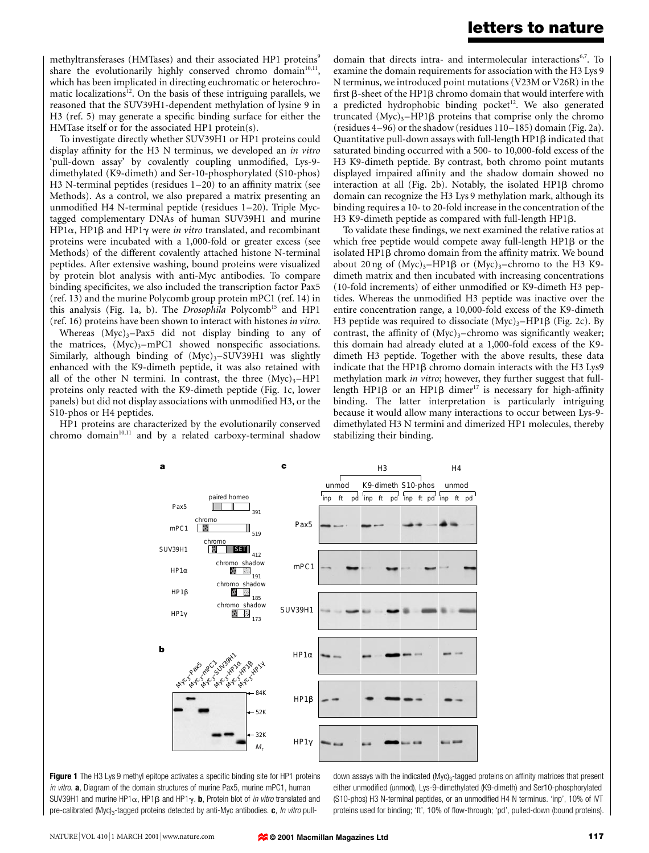methyltransferases (HMTases) and their associated HP1 proteins<sup>9</sup> share the evolutionarily highly conserved chromo domain<sup>10,11</sup>, which has been implicated in directing euchromatic or heterochromatic localizations<sup>12</sup>. On the basis of these intriguing parallels, we reasoned that the SUV39H1-dependent methylation of lysine 9 in  $H3$  (ref. 5) may generate a specific binding surface for either the HMTase itself or for the associated HP1 protein(s).

To investigate directly whether SUV39H1 or HP1 proteins could display affinity for the H3 N terminus, we developed an in vitro 'pull-down assay' by covalently coupling unmodified, Lys-9dimethylated (K9-dimeth) and Ser-10-phosphorylated (S10-phos) H3 N-terminal peptides (residues  $1-20$ ) to an affinity matrix (see Methods). As a control, we also prepared a matrix presenting an unmodified H4 N-terminal peptide (residues 1-20). Triple Myctagged complementary DNAs of human SUV39H1 and murine HP1 $\alpha$ , HP1 $\beta$  and HP1 $\gamma$  were *in vitro* translated, and recombinant proteins were incubated with a 1,000-fold or greater excess (see Methods) of the different covalently attached histone N-terminal peptides. After extensive washing, bound proteins were visualized by protein blot analysis with anti-Myc antibodies. To compare binding specificites, we also included the transcription factor Pax5 (ref. 13) and the murine Polycomb group protein mPC1 (ref. 14) in this analysis (Fig. 1a, b). The *Drosophila* Polycomb<sup>15</sup> and HP1 (ref. 16) proteins have been shown to interact with histones in vitro.

Whereas  $(Myc)_{3}-Pax5$  did not display binding to any of the matrices,  $(Myc)<sub>3</sub>$ -mPC1 showed nonspecific associations. Similarly, although binding of  $(Myc)_{3}-SUV39H1$  was slightly enhanced with the K9-dimeth peptide, it was also retained with all of the other N termini. In contrast, the three  $(Myc)_{3}$ -HP1 proteins only reacted with the K9-dimeth peptide (Fig. 1c, lower panels) but did not display associations with unmodified H3, or the S10-phos or H4 peptides.

HP1 proteins are characterized by the evolutionarily conserved chromo domain $10,11$  and by a related carboxy-terminal shadow

domain that directs intra- and intermolecular interactions<sup>6,7</sup>. To examine the domain requirements for association with the H3 Lys 9 N terminus, we introduced point mutations (V23M or V26R) in the first  $\beta$ -sheet of the HP1 $\beta$  chromo domain that would interfere with a predicted hydrophobic binding pocket<sup>12</sup>. We also generated truncated  $(Myc)<sub>3</sub>–HP1\beta$  proteins that comprise only the chromo (residues  $4-96$ ) or the shadow (residues  $110-185$ ) domain (Fig. 2a). Quantitative pull-down assays with full-length HP1b indicated that saturated binding occurred with a 500- to 10,000-fold excess of the H3 K9-dimeth peptide. By contrast, both chromo point mutants displayed impaired affinity and the shadow domain showed no interaction at all (Fig. 2b). Notably, the isolated HP1 $\beta$  chromo domain can recognize the H3 Lys 9 methylation mark, although its binding requires a 10- to 20-fold increase in the concentration of the H3 K9-dimeth peptide as compared with full-length HP1 $\beta$ .

To validate these findings, we next examined the relative ratios at which free peptide would compete away full-length  $HP1\beta$  or the isolated HP1 $\beta$  chromo domain from the affinity matrix. We bound about 20 ng of  $(Myc)_{3}$ -HP1 $\beta$  or  $(Myc)_{3}$ -chromo to the H3 K9dimeth matrix and then incubated with increasing concentrations  $(10$ -fold increments) of either unmodified or K9-dimeth H3 peptides. Whereas the unmodified H3 peptide was inactive over the entire concentration range, a 10,000-fold excess of the K9-dimeth H3 peptide was required to dissociate  $(Myc)<sub>3</sub>–HP1\beta$  (Fig. 2c). By contrast, the affinity of  $(Myc)<sub>3</sub>$ -chromo was significantly weaker; this domain had already eluted at a 1,000-fold excess of the K9 dimeth H3 peptide. Together with the above results, these data indicate that the HP1 $\beta$  chromo domain interacts with the H3 Lys9 methylation mark *in vitro*; however, they further suggest that fulllength HP1 $\beta$  or an HP1 $\beta$  dimer<sup>17</sup> is necessary for high-affinity binding. The latter interpretation is particularly intriguing because it would allow many interactions to occur between Lys-9 dimethylated H3 N termini and dimerized HP1 molecules, thereby stabilizing their binding.





down assays with the indicated (Myc)<sub>3</sub>-tagged proteins on affinity matrices that present either unmodified (unmod), Lys-9-dimethylated (K9-dimeth) and Ser10-phosphorylated (S10-phos) H3 N-terminal peptides, or an unmodified H4 N terminus. 'inp', 10% of IVT proteins used for binding; 'ft', 10% of flow-through; 'pd', pulled-down (bound proteins).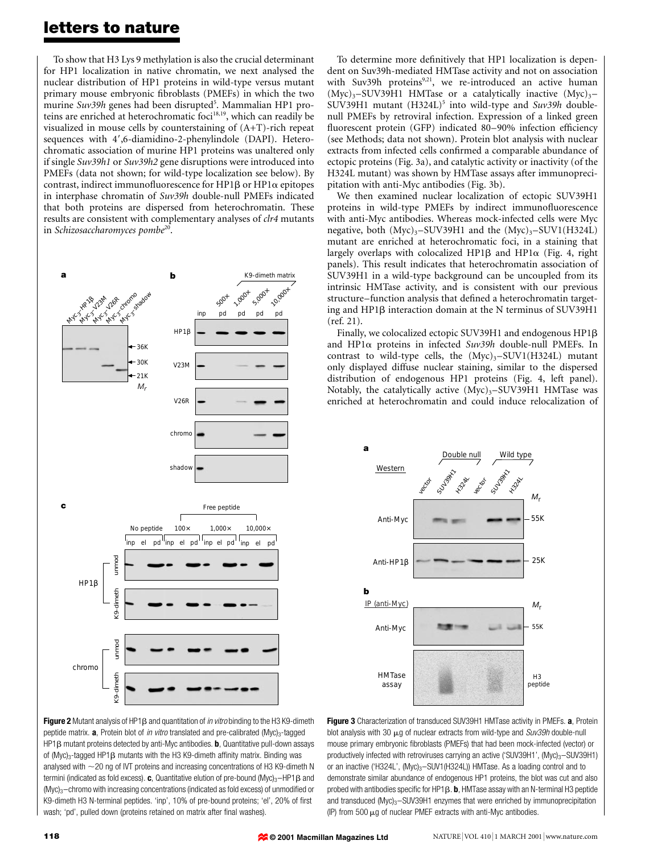To show that H3 Lys 9 methylation is also the crucial determinant for HP1 localization in native chromatin, we next analysed the nuclear distribution of HP1 proteins in wild-type versus mutant primary mouse embryonic fibroblasts (PMEFs) in which the two murine Suv39h genes had been disrupted<sup>5</sup>. Mammalian HP1 proteins are enriched at heterochromatic foci<sup>18,19</sup>, which can readily be visualized in mouse cells by counterstaining of (A+T)-rich repeat sequences with 4',6-diamidino-2-phenylindole (DAPI). Heterochromatic association of murine HP1 proteins was unaltered only if single Suv39h1 or Suv39h2 gene disruptions were introduced into PMEFs (data not shown; for wild-type localization see below). By contrast, indirect immunofluorescence for HP1 $\beta$  or HP1 $\alpha$  epitopes in interphase chromatin of Suv39h double-null PMEFs indicated that both proteins are dispersed from heterochromatin. These results are consistent with complementary analyses of clr4 mutants in Schizosaccharomyces pombe $2^0$ .



To determine more definitively that HP1 localization is dependent on Suv39h-mediated HMTase activity and not on association with Suv39h proteins $9,21$ , we re-introduced an active human  $(Myc)<sub>3</sub>$ -SUV39H1 HMTase or a catalytically inactive  $(Myc)<sub>3</sub>$ -SUV39H1 mutant  $(H324L)^5$  into wild-type and Suv39h doublenull PMEFs by retroviral infection. Expression of a linked green fluorescent protein (GFP) indicated 80–90% infection efficiency (see Methods; data not shown). Protein blot analysis with nuclear extracts from infected cells confirmed a comparable abundance of ectopic proteins (Fig. 3a), and catalytic activity or inactivity (of the H324L mutant) was shown by HMTase assays after immunopreci-

pitation with anti-Myc antibodies (Fig. 3b).

We then examined nuclear localization of ectopic SUV39H1 proteins in wild-type PMEFs by indirect immunofluorescence with anti-Myc antibodies. Whereas mock-infected cells were Myc negative, both  $(Myc)_{3}-SUV39H1$  and the  $(Myc)_{3}-SUV1(H324L)$ mutant are enriched at heterochromatic foci, in a staining that largely overlaps with colocalized HP1 $\beta$  and HP1 $\alpha$  (Fig. 4, right panels). This result indicates that heterochromatin association of SUV39H1 in a wild-type background can be uncoupled from its intrinsic HMTase activity, and is consistent with our previous structure-function analysis that defined a heterochromatin targeting and HP1 $\beta$  interaction domain at the N terminus of SUV39H1 (ref. 21).

Finally, we colocalized ectopic SUV39H1 and endogenous HP1b and HP1 $\alpha$  proteins in infected Suv39h double-null PMEFs. In contrast to wild-type cells, the  $(Myc)_{3}-SUV1(H324L)$  mutant only displayed diffuse nuclear staining, similar to the dispersed distribution of endogenous HP1 proteins (Fig. 4, left panel). Notably, the catalytically active  $(Myc)_{3}-SUV39H1$  HMTase was enriched at heterochromatin and could induce relocalization of



Figure 2 Mutant analysis of HP1 $\beta$  and quantitation of *in vitro* binding to the H3 K9-dimeth peptide matrix.  $\mathbf{a}$ , Protein blot of *in vitro* translated and pre-calibrated (Myc)<sub>3</sub>-tagged HP1 $\beta$  mutant proteins detected by anti-Myc antibodies. **b**, Quantitative pull-down assays of (Myc)<sub>3</sub>-tagged HP1 $\beta$  mutants with the H3 K9-dimeth affinity matrix. Binding was analysed with  $\sim$  20 ng of IVT proteins and increasing concentrations of H3 K9-dimeth N termini (indicated as fold excess). c, Quantitative elution of pre-bound (Myc)<sub>3</sub>-HP1 $\beta$  and  $(Myc)<sub>3</sub>$  -chromo with increasing concentrations (indicated as fold excess) of unmodified or K9-dimeth H3 N-terminal peptides. 'inp', 10% of pre-bound proteins; 'el', 20% of first wash; 'pd', pulled down (proteins retained on matrix after final washes).

Figure 3 Characterization of transduced SUV39H1 HMTase activity in PMEFs. a, Protein blot analysis with 30  $\mu$ g of nuclear extracts from wild-type and Suv39h double-null mouse primary embryonic fibroblasts (PMEFs) that had been mock-infected (vector) or productively infected with retroviruses carrying an active ('SUV39H1',  $(Myc)_{3}-SUV39H1$ ) or an inactive ('H324L',  $(Myc)_{3}$ -SUV1(H324L)) HMTase. As a loading control and to demonstrate similar abundance of endogenous HP1 proteins, the blot was cut and also probed with antibodies specific for HP1 $\beta$ . b, HMTase assay with an N-terminal H3 peptide and transduced (Myc)<sub>3</sub> $-$ SUV39H1 enzymes that were enriched by immunoprecipitation (IP) from 500  $\mu$ g of nuclear PMEF extracts with anti-Myc antibodies.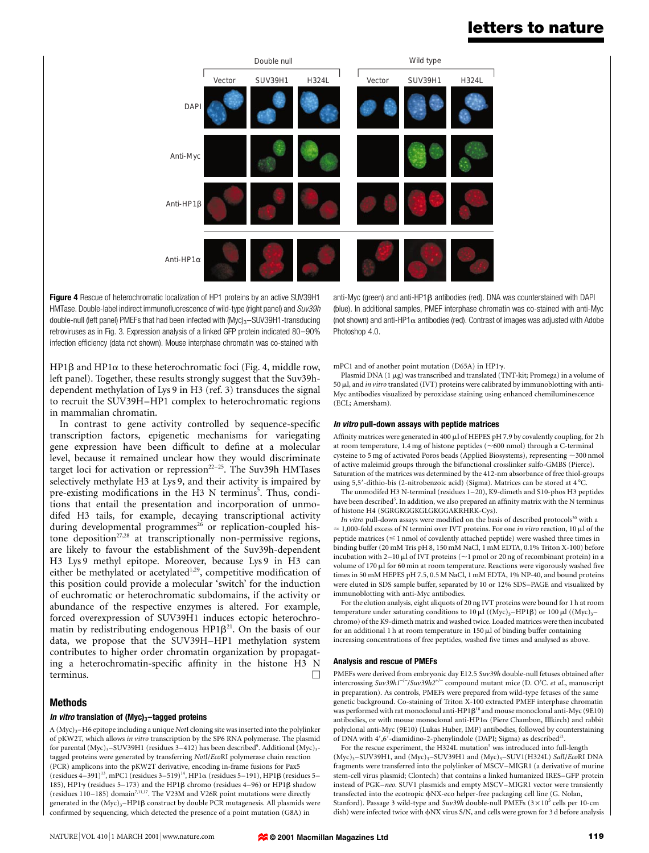

Figure 4 Rescue of heterochromatic localization of HP1 proteins by an active SUV39H1 HMTase. Double-label indirect immunofluorescence of wild-type (right panel) and Suv39h double-null (left panel) PMEFs that had been infected with  $(Myc)_{3}-SUV39H1$ -transducing retroviruses as in Fig. 3. Expression analysis of a linked GFP protein indicated 80-90% infection efficiency (data not shown). Mouse interphase chromatin was co-stained with

anti-Myc (green) and anti-HP1 $\beta$  antibodies (red). DNA was counterstained with DAPI (blue). In additional samples, PMEF interphase chromatin was co-stained with anti-Myc (not shown) and anti-HP1 $\alpha$  antibodies (red). Contrast of images was adjusted with Adobe Photoshop 4.0.

HP1 $\beta$  and HP1 $\alpha$  to these heterochromatic foci (Fig. 4, middle row, left panel). Together, these results strongly suggest that the Suv39hdependent methylation of Lys 9 in H3 (ref. 3) transduces the signal to recruit the SUV39H-HP1 complex to heterochromatic regions in mammalian chromatin.

In contrast to gene activity controlled by sequence-specific transcription factors, epigenetic mechanisms for variegating gene expression have been difficult to define at a molecular level, because it remained unclear how they would discriminate target loci for activation or repression<sup>22-25</sup>. The Suv39h HMTases selectively methylate H3 at Lys 9, and their activity is impaired by pre-existing modifications in the H3 N terminus<sup>5</sup>. Thus, conditions that entail the presentation and incorporation of unmodifed H3 tails, for example, decaying transcriptional activity during developmental programmes<sup>26</sup> or replication-coupled histone deposition<sup>27,28</sup> at transcriptionally non-permissive regions, are likely to favour the establishment of the Suv39h-dependent H3 Lys 9 methyl epitope. Moreover, because Lys 9 in H3 can either be methylated or acetylated<sup>1,29</sup>, competitive modification of this position could provide a molecular `switch' for the induction of euchromatic or heterochromatic subdomains, if the activity or abundance of the respective enzymes is altered. For example, forced overexpression of SUV39H1 induces ectopic heterochromatin by redistributing endogenous  $HP1\beta^{21}$ . On the basis of our data, we propose that the SUV39H-HP1 methylation system contributes to higher order chromatin organization by propagating a heterochromatin-specific affinity in the histone H3 N terminus.  $\Box$ 

# Methods

## In vitro translation of  $(Myc)_3$ -tagged proteins

A (Myc)<sub>3</sub>-H6 epitope including a unique NotI cloning site was inserted into the polylinker of pKW2T, which allows in vitro transcription by the SP6 RNA polymerase. The plasmid for parental (Myc)<sub>3</sub>-SUV39H1 (residues 3-412) has been described<sup>9</sup>. Additional (Myc)<sub>3</sub>tagged proteins were generated by transferring NotI/EcoRI polymerase chain reaction (PCR) amplicons into the pKW2T derivative, encoding in-frame fusions for Pax5 (residues  $4-391$ )<sup>13</sup>, mPC1 (residues  $3-519$ )<sup>14</sup>, HP1 $\alpha$  (residues 5-191), HP1 $\beta$  (residues 5-185), HP1 $\gamma$  (residues 5-173) and the HP1 $\beta$  chromo (residues 4-96) or HP1 $\beta$  shadow (residues  $110-185$ ) domain<sup>7,11,17</sup>. The V23M and V26R point mutations were directly generated in the  $(Myc)_3$ -HP1 $\beta$  construct by double PCR mutagenesis. All plasmids were confirmed by sequencing, which detected the presence of a point mutation (G8A) in

mPC1 and of another point mutation (D65A) in HP1 $\gamma$ .

Plasmid DNA  $(1 \mu g)$  was transcribed and translated (TNT-kit; Promega) in a volume of 50  $\mu$ l, and in vitro translated (IVT) proteins were calibrated by immunoblotting with anti-Myc antibodies visualized by peroxidase staining using enhanced chemiluminescence (ECL; Amersham).

#### In vitro pull-down assays with peptide matrices

Affinity matrices were generated in 400 µl of HEPES pH 7.9 by covalently coupling, for 2 h at room temperature, 1.4 mg of histone peptides  $(\sim 600$  nmol) through a C-terminal cysteine to 5 mg of activated Poros beads (Applied Biosystems), representing  $\sim$  300 nmol of active maleimid groups through the bifunctional crosslinker sulfo-GMBS (Pierce). Saturation of the matrices was determined by the 412-nm absorbance of free thiol-groups using 5,5'-dithio-bis (2-nitrobenzoic acid) (Sigma). Matrices can be stored at 4 °C

The unmodifed H3 N-terminal (residues  $1-20$ ), K9-dimeth and S10-phos H3 peptides have been described<sup>5</sup>. In addition, we also prepared an affinity matrix with the N terminus of histone H4 (SGRGKGGKGLGKGGAKRHRK-Cys).

In vitro pull-down assays were modified on the basis of described protocols $30$  with a  $\approx$  1,000-fold excess of N termini over IVT proteins. For one *in vitro* reaction, 10  $\mu$ l of the peptide matrices  $(\leq 1$  nmol of covalently attached peptide) were washed three times in binding buffer (20 mM Tris pH 8, 150 mM NaCl, 1 mM EDTA, 0.1% Triton X-100) before incubation with 2-10  $\mu$ l of IVT proteins ( $\sim$ 1 pmol or 20 ng of recombinant protein) in a volume of 170  $\mu$ l for 60 min at room temperature. Reactions were vigorously washed five times in 50 mM HEPES pH 7.5, 0.5 M NaCl, 1 mM EDTA, 1% NP-40, and bound proteins were eluted in SDS sample buffer, separated by 10 or 12% SDS-PAGE and visualized by immunoblotting with anti-Myc antibodies.

For the elution analysis, eight aliquots of 20 ng IVT proteins were bound for 1 h at room temperature under saturating conditions to 10  $\mu$ l ((Myc)<sub>3</sub>-HP1 $\beta$ ) or 100  $\mu$ l ((Myc)<sub>3</sub>chromo) of the K9-dimeth matrix and washed twice. Loaded matrices were then incubated for an additional 1 h at room temperature in  $150 \mu$  of binding buffer containing increasing concentrations of free peptides, washed five times and analysed as above.

#### Analysis and rescue of PMEFs

PMEFs were derived from embryonic day E12.5 Suv39h double-null fetuses obtained after intercrossing Suv39h1<sup>-/-</sup>/Suv39h2<sup>+/-</sup> compound mutant mice (D. O'C. et al., manuscript in preparation). As controls, PMEFs were prepared from wild-type fetuses of the same genetic background. Co-staining of Triton X-100 extracted PMEF interphase chromatin was performed with rat monoclonal anti-HP1 $\beta^{18}$  and mouse monoclonal anti-Myc (9E10) antibodies, or with mouse monoclonal anti-HP1 $\alpha$  (Piere Chambon, Illkirch) and rabbit polyclonal anti-Myc (9E10) (Lukas Huber, IMP) antibodies, followed by counterstaining of DNA with  $4^{\prime}, 6^{\prime}$ -diamidino-2-phenylindole (DAPI; Sigma) as described<sup>21</sup>

For the rescue experiment, the H324L mutation<sup>5</sup> was introduced into full-length  $(Myc)_{3}$ =SUV39H1, and  $(Myc)_{3}$ =SUV39H1 and  $(Myc)_{3}$ =SUV1(H324L) SalI/EcoRI DNA fragments were transferred into the polylinker of MSCV-MIGR1 (a derivative of murine stem-cell virus plasmid; Clontech) that contains a linked humanized IRES-GFP protein instead of PGK-neo. SUV1 plasmids and empty MSCV-MIGR1 vector were transiently transfected into the ecotropic  $\phi$ NX-eco helper-free packaging cell line (G. Nolan, Stanford). Passage 3 wild-type and Suv39h double-null PMEFs  $(3 \times 10^5 \text{ cells per } 10\text{-cm}$ dish) were infected twice with  $\phi$ NX virus S/N, and cells were grown for 3 d before analysis